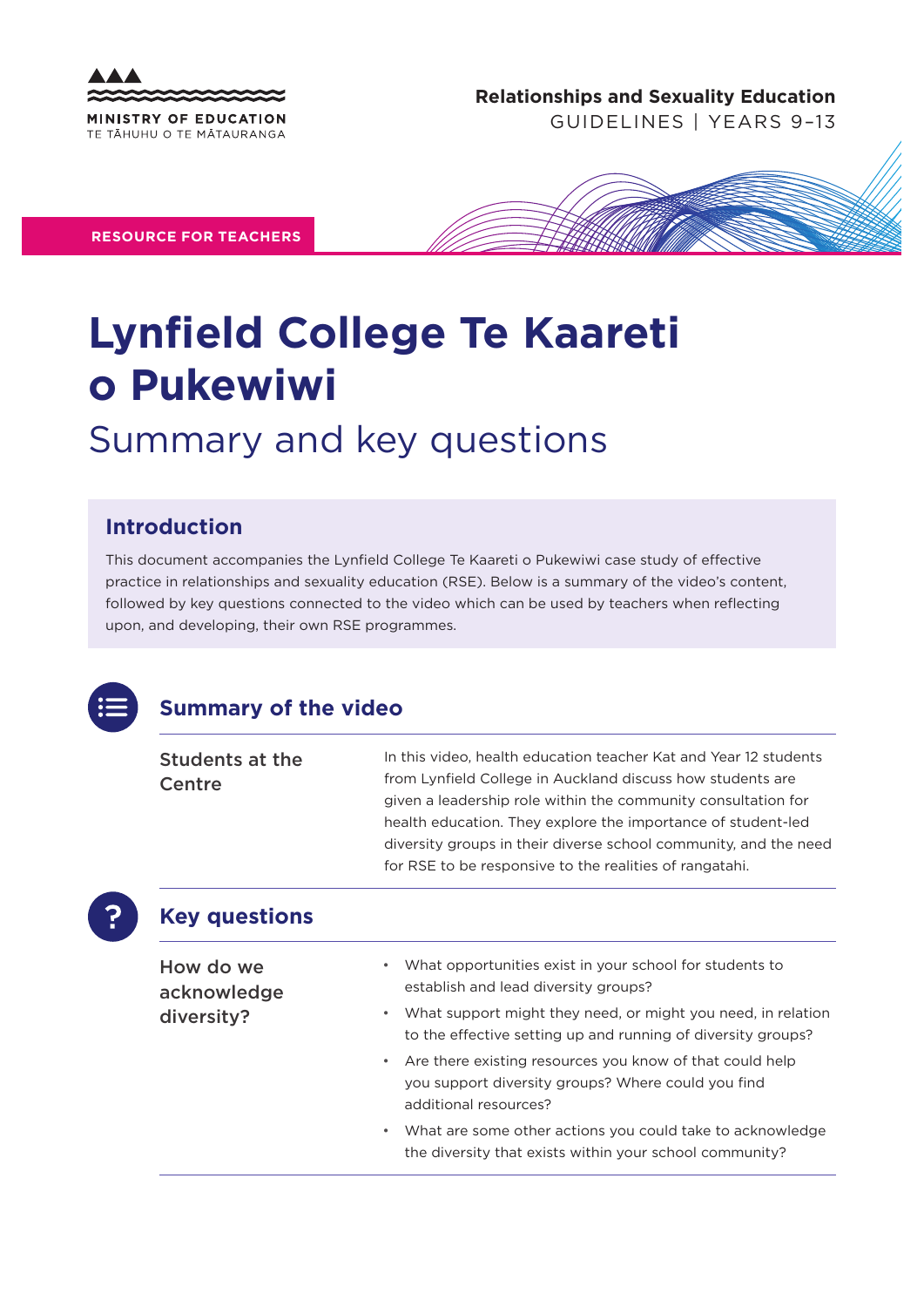

**Relationships and Sexuality Education** 

GUIDELINES | YEARS 9–13

**RESOURCE FOR TEACHERS**



# **Lynfield College Te Kaareti o Pukewiwi**

## Summary and key questions

#### **Introduction**

This document accompanies the Lynfield College Te Kaareti o Pukewiwi case study of effective practice in relationships and sexuality education (RSE). Below is a summary of the video's content, followed by key questions connected to the video which can be used by teachers when reflecting upon, and developing, their own RSE programmes.



#### **Summary of the video**

| <b>Students at the</b> | In this video, health education teacher Kat and Year 12 students |
|------------------------|------------------------------------------------------------------|
| Centre                 | from Lynfield College in Auckland discuss how students are       |
|                        | given a leadership role within the community consultation for    |
|                        | health education. They explore the importance of student-led     |
|                        | diversity groups in their diverse school community, and the need |
|                        | for RSE to be responsive to the realities of rangatahi.          |
|                        |                                                                  |

### **Key questions**

| How do we<br>acknowledge<br>diversity? | What opportunities exist in your school for students to<br>$\bullet$ .                                                                                                            |
|----------------------------------------|-----------------------------------------------------------------------------------------------------------------------------------------------------------------------------------|
|                                        | establish and lead diversity groups?<br>What support might they need, or might you need, in relation<br>$\bullet$<br>to the effective setting up and running of diversity groups? |
|                                        | • Are there existing resources you know of that could help<br>you support diversity groups? Where could you find<br>additional resources?                                         |
|                                        | What are some other actions you could take to acknowledge<br>$\bullet$<br>the diversity that exists within your school community?                                                 |